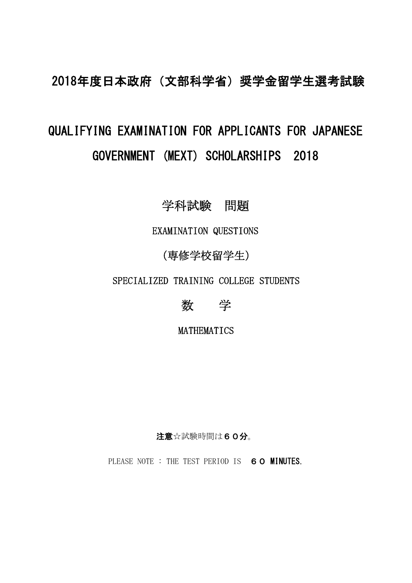## 2018年度日本政府(文部科学省)奨学金留学生選考試験

## QUALIFYING EXAMINATION FOR APPLICANTS FOR JAPANESE GOVERNMENT (MEXT) SCHOLARSHIPS 2018

## 学科試験 問題

EXAMINATION QUESTIONS

## (専修学校留学生)

SPECIALIZED TRAINING COLLEGE STUDENTS



MATHEMATICS

注意☆試験時間は60分。

PLEASE NOTE : THE TEST PERIOD IS 60 MINUTES.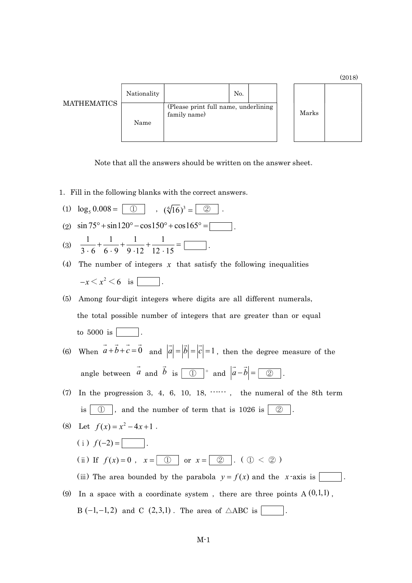|                    |             |                                                      |  |       | <b>AUIO</b> |
|--------------------|-------------|------------------------------------------------------|--|-------|-------------|
| <b>MATHEMATICS</b> | Nationality | No.                                                  |  |       |             |
|                    | Name        | (Please print full name, underlining<br>family name) |  | Marks |             |

 $(9018)$ 

Note that all the answers should be written on the answer sheet.

1.Fill in the following blanks with the correct answers.

(1) 
$$
\log_5 0.008 = \boxed{①}
$$
,  $(\sqrt[6]{16})^3 = \boxed{②}$ .  
\n(2)  $\sin 75^\circ + \sin 120^\circ - \cos 150^\circ + \cos 165^\circ = \boxed{3}$ .  
\n(3)  $\frac{1}{3 \cdot 6} + \frac{1}{6 \cdot 9} + \frac{1}{9 \cdot 12} + \frac{1}{12 \cdot 15} = \boxed{3}$ .

- (4) The number of integers  $x$  that satisfy the following inequalities  $-x \leq x^2 \leq 6$  is  $\boxed{\phantom{00000000}}$ .
- (5) Among four-digit integers where digits are all different numerals, the total possible number of integers that are greater than or equal to  $5000$  is  $\vert$ .
- (6) When  $\vec{a} + \vec{b} + \vec{c} = \vec{0}$  and  $|\vec{a}| = |\vec{b}| = |\vec{c}| = 1$ , then the degree measure of the angle between  $\vec{a}$  and  $\vec{b}$  is  $\boxed{0}$  and  $|\vec{a}-\vec{b}| = \boxed{2}$ .
- (7) In the progression 3, 4, 6, 10, 18,  $\cdots$ , the numeral of the 8th term is  $\boxed{0}$ , and the number of term that is 1026 is  $\boxed{2}$

(8) Let 
$$
f(x) = x^2 - 4x + 1
$$
.

(i) 
$$
f(-2) =
$$

(ii) If  $f(x)=0$ ,  $x = |0|$  or  $x = |0|$ . (0 < 2)

(iii) The area bounded by the parabola  $y = f(x)$  and the *x*-axis is  $\boxed{\phantom{a}}$ .

(9) In a space with a coordinate system, there are three points  $A(0,1,1)$ ,  $B(-1,-1,2)$  and  $C(2,3,1)$ . The area of  $\triangle ABC$  is  $\vert$ .